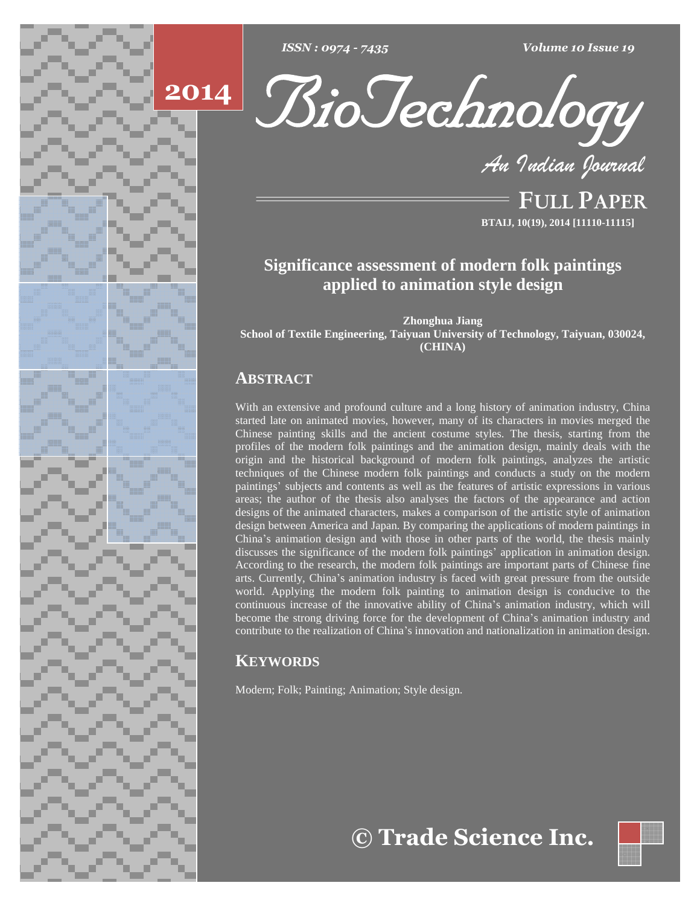





**FULL PAPER BTAIJ, 10(19), 2014 [11110-11115]**

# **Significance assessment of modern folk paintings applied to animation style design**

**Zhonghua Jiang School of Textile Engineering, Taiyuan University of Technology, Taiyuan, 030024, (CHINA)**

## **ABSTRACT**

With an extensive and profound culture and a long history of animation industry, China started late on animated movies, however, many of its characters in movies merged the Chinese painting skills and the ancient costume styles. The thesis, starting from the profiles of the modern folk paintings and the animation design, mainly deals with the origin and the historical background of modern folk paintings, analyzes the artistic<br>techniques of the Chinese modern folk paintings and conducts a study on the modern<br>paintings' subjects and contents as well as the featur techniques of the Chinese modern folk paintings and conducts a study on the modern areas; the author of the thesis also analyses the factors of the appearance and action designs of the animated characters, makes a comparison of the artistic style of animation design between America and Japan. By comparing the applications of modern paintings in designs of the animated characters, makes a comparison of the artistic style of animation<br>design between America and Japan. By comparing the applications of modern paintings in<br>China's animation design and with those in ot design between America and Japan. By comparing the applications of modern paintings in<br>China's animation design and with those in other parts of the world, the thesis mainly<br>discusses the significance of the modern folk pa According to the research, the modern folk paintings are important parts of Chinese fine China's animation design and with those in other parts of the world, the thesis mainly discusses the significance of the modern folk paintings' application in animation design. According to the research, the modern folk pa world. Applying the modern folk painting to animation design is conducive to the arts. Currently, China's animation industry is faced with great pressure from the outside<br>world. Applying the modern folk painting to animation design is conducive to the<br>continuous increase of the innovative ability of Ch world. Applying the modern folk painting to animation design is conducive to the continuous increase of the innovative ability of China's animation industry, which will become the strong driving force for the development o continuous increase of the innovative ability of China's animation industry, which will become the strong driving force for the development of China's animation industry and contribute to the realization of China's innovat

# **KEYWORDS**

Modern; Folk; Painting; Animation; Style design.

# **Trade Science Inc.**

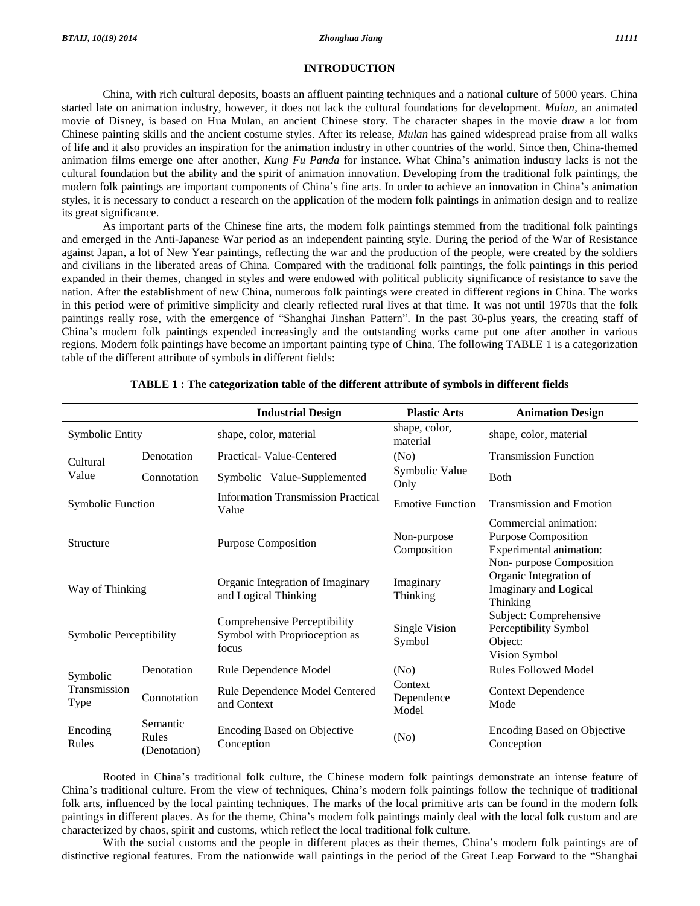#### **INTRODUCTION**

China, with rich cultural deposits, boasts an affluent painting techniques and a national culture of 5000 years. China started late on animation industry, however, it does not lack the cultural foundations for development. *Mulan,* an animated movie of Disney, is based on Hua Mulan, an ancient Chinese story. The character shapes in the movie draw a lot from Chinese painting skills and the ancient costume styles. After its release, *Mulan* has gained widespread praise from all walks<br>of life and it also provides an inspiration for the animation industry in other countries of th of life and it also provides an inspiration for the animation industry in other countries of the world. Since then, China-themed cultural foundation butthe ability and the spirit of animation innovation. Developing from the traditional folk paintings, the animation films emerge one after another, *Kung Fu Panda* for instance. What China's animation industry lacks is not the cultural foundation but the ability and the spirit of animation innovation. Developing from the tradi styles, it is necessary to conduct a research on the application of the modern folk paintings in animation design and to realize its great significance.

As important parts of the Chinese fine arts, the modern folk paintings stemmed from the traditional folk paintings and emerged in the Anti-Japanese War period as an independent painting style. During the period of the War of Resistance against Japan, a lot of New Year paintings, reflecting the war and the production of the people, were created by the soldiers and civilians in the liberated areas of China. Compared with the traditional folk paintings, the folk paintings in this period expanded in their themes, changed in styles and were endowed with political publicity significance of resistance to save the nation. After the establishment of new China, numerous folk paintings were created in different regions in China. The works in this period were of primitive simplicity and clearly reflected rural lives at that time. It was not until 1970s that the folk nation. After the establishment of new China, numerous folk paintings were created in different regions in China. The works<br>in this period were of primitive simplicity and clearly reflected rural lives at that time. It was in this period were of primitive simplicity and clearly reflected rural lives at that time. It was not until 1970s that the folk paintings really rose, with the emergence of "Shanghai Jinshan Pattern". In the past 30-plus regions. Modern folk paintings have become an important painting type of China. The following TABLE 1 is a categorization table of the different attribute of symbols in different fields:

|                                  |                                   | <b>Industrial Design</b>                                               | <b>Plastic Arts</b>            | <b>Animation Design</b>                                                                                   |
|----------------------------------|-----------------------------------|------------------------------------------------------------------------|--------------------------------|-----------------------------------------------------------------------------------------------------------|
| <b>Symbolic Entity</b>           |                                   | shape, color, material                                                 | shape, color,<br>material      | shape, color, material                                                                                    |
| Cultural<br>Value                | Denotation                        | Practical-Value-Centered                                               | (No)                           | <b>Transmission Function</b>                                                                              |
|                                  | Connotation                       | Symbolic-Value-Supplemented                                            | Symbolic Value<br>Only         | <b>B</b> oth                                                                                              |
| <b>Symbolic Function</b>         |                                   | <b>Information Transmission Practical</b><br>Value                     | <b>Emotive Function</b>        | <b>Transmission and Emotion</b>                                                                           |
| Structure                        |                                   | <b>Purpose Composition</b>                                             | Non-purpose<br>Composition     | Commercial animation:<br><b>Purpose Composition</b><br>Experimental animation:<br>Non-purpose Composition |
| Way of Thinking                  |                                   | Organic Integration of Imaginary<br>and Logical Thinking               | Imaginary<br>Thinking          | Organic Integration of<br>Imaginary and Logical<br>Thinking                                               |
| Symbolic Perceptibility          |                                   | Comprehensive Perceptibility<br>Symbol with Proprioception as<br>focus | Single Vision<br>Symbol        | Subject: Comprehensive<br>Perceptibility Symbol<br>Object:<br>Vision Symbol                               |
| Symbolic<br>Transmission<br>Type | Denotation                        | Rule Dependence Model                                                  | (No)                           | <b>Rules Followed Model</b>                                                                               |
|                                  | Connotation                       | Rule Dependence Model Centered<br>and Context                          | Context<br>Dependence<br>Model | <b>Context Dependence</b><br>Mode                                                                         |
| Encoding<br>Rules                | Semantic<br>Rules<br>(Denotation) | <b>Encoding Based on Objective</b><br>Conception                       | (No)                           | <b>Encoding Based on Objective</b><br>Conception                                                          |

#### **TABLE 1 : The categorization table of the different attribute of symbols in different fields**

Rooted in China's traditional folk culture, the Chinese modern folk paintings demonstrate an intense feature of<br>China's traditional culture. From the view of techniques, China's modern folk paintings follow the technique o folk arts, influenced by the local painting techniques. The marks of the local primitive arts can be found in the modern folk China's traditional culture. From the view of techniques, China's modern folk paintings follow the technique of traditional folk arts, influenced by the local painting techniques. The marks of the local primitive arts can characterized by chaos, spirit and customs, which reflect the local traditional folk culture.

With the social customs and the people in different places as their themes, China's modern folk paintings are of distinctive regional features. From the nationwide wall paintings in the period of the Great Leap Forward to the "Shanghai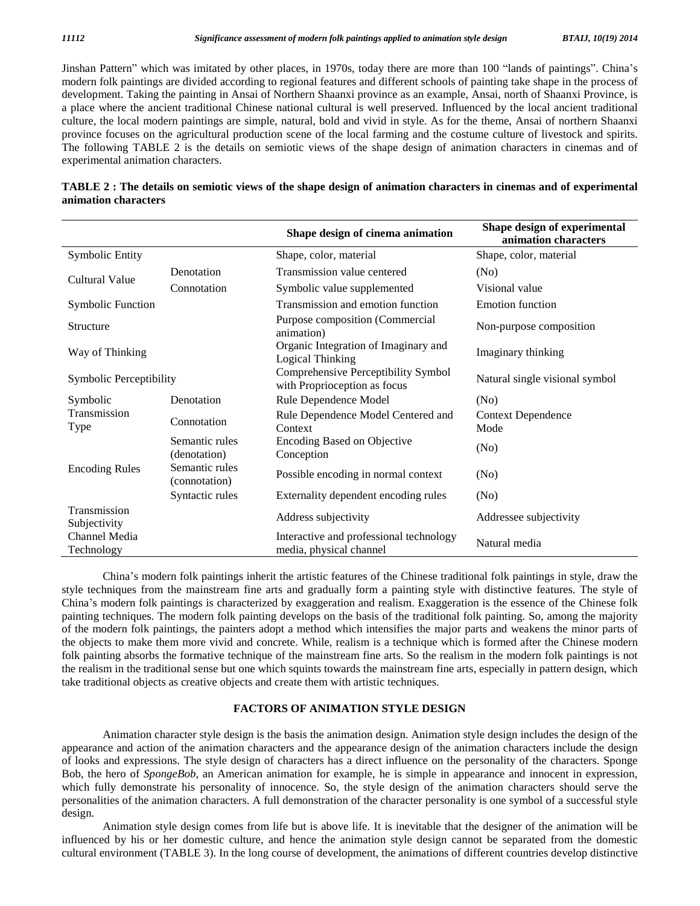Jinshan Pattern" which was imitated by other places, in 1970s, today there are more than 100 "lands of paintings". China's modern folk paintings are divided according to regional features and different schools of painting take shape in the process of development. Taking the painting in Ansai of Northern Shaanxi province as an example, Ansai, north of Shaanxi Province, is a place where the ancient traditional Chinese national cultural is well preserved. Influenced by the local ancient traditional culture, the local modern paintings are simple, natural, bold and vivid in style. As for the theme, Ansai of northern Shaanxi province focuses on the agricultural production scene of the local farming and the costume culture of livestock and spirits. The following TABLE 2 is the details on semiotic views of the shape design of animation characters in cinemas and of experimental animation characters.

| TABLE 2: The details on semiotic views of the shape design of animation characters in cinemas and of experimental |  |
|-------------------------------------------------------------------------------------------------------------------|--|
| animation characters                                                                                              |  |

|                              |                                 | Shape design of cinema animation                                    | Shape design of experimental<br>animation characters |
|------------------------------|---------------------------------|---------------------------------------------------------------------|------------------------------------------------------|
| <b>Symbolic Entity</b>       |                                 | Shape, color, material                                              | Shape, color, material                               |
|                              | Denotation                      | Transmission value centered                                         | (No)                                                 |
| Cultural Value               | Connotation                     | Symbolic value supplemented                                         | Visional value                                       |
| <b>Symbolic Function</b>     |                                 | Transmission and emotion function                                   | <b>Emotion function</b>                              |
| Structure                    |                                 | Purpose composition (Commercial<br>animation)                       | Non-purpose composition                              |
| Way of Thinking              |                                 | Organic Integration of Imaginary and<br>Logical Thinking            | Imaginary thinking                                   |
| Symbolic Perceptibility      |                                 | Comprehensive Perceptibility Symbol<br>with Proprioception as focus | Natural single visional symbol                       |
| Symbolic                     | Denotation                      | Rule Dependence Model                                               | (No)                                                 |
| Transmission<br>Type         | Connotation                     | Rule Dependence Model Centered and<br>Context                       | <b>Context Dependence</b><br>Mode                    |
|                              | Semantic rules<br>(denotation)  | <b>Encoding Based on Objective</b><br>Conception                    | (No)                                                 |
| <b>Encoding Rules</b>        | Semantic rules<br>(connotation) | Possible encoding in normal context                                 | (No)                                                 |
|                              | Syntactic rules                 | Externality dependent encoding rules                                | (No)                                                 |
| Transmission<br>Subjectivity |                                 | Address subjectivity                                                | Addressee subjectivity                               |
| Channel Media<br>Technology  |                                 | Interactive and professional technology<br>media, physical channel  | Natural media                                        |

Chinaí<sup>s</sup> modern folk paintings inherit the artistic features of the Chinese traditional folk paintings in style, draw the style techniques from the mainstream fine arts and gradually form a painting style with distinctive features. The style of China's modern folk paintings inherit the artistic features of the Chinese traditional folk paintings in style, draw the style techniques from the mainstream fine arts and gradually form a painting style with distinctive f painting techniques. The modern folk painting develops on the basis of the traditional folk painting. So, among the majority of the modern folk paintings, the painters adopt a method which intensifies the major parts and weakens the minor parts of the objects to make them more vivid and concrete. While, realism is a technique which is formed after the Chinese modern folk painting absorbs the formative technique of the mainstream fine arts. So the realism in the modern folk paintings is not the realism in the traditional sense but one which squints towards the mainstream fine arts, especially in pattern design, which take traditional objects as creative objects and create them with artistic techniques.

#### **FACTORS OF ANIMATION STYLE DESIGN**

Animation character style design is the basis the animation design. Animation style design includes the design of the appearance and action of the animation characters and the appearance design of the animation characters include the design of looks and expressions. The style design of characters has a direct influence on the personality of the characters. Sponge Bob, the hero of*SpongeBob,* an American animation for example, he is simple in appearance and innocent in expression, which fully demonstrate his personality of innocence. So, the style design of the animation characters should serve the personalities of the animation characters. A full demonstration of the character personality is one symbol of a successful style design.

Animation style design comes from life but is above life. It is inevitable that the designer of the animation will be influenced by his or her domestic culture, and hence the animation style design cannot be separated from the domestic cultural environment (TABLE 3). In the long course of development, the animations of different countries develop distinctive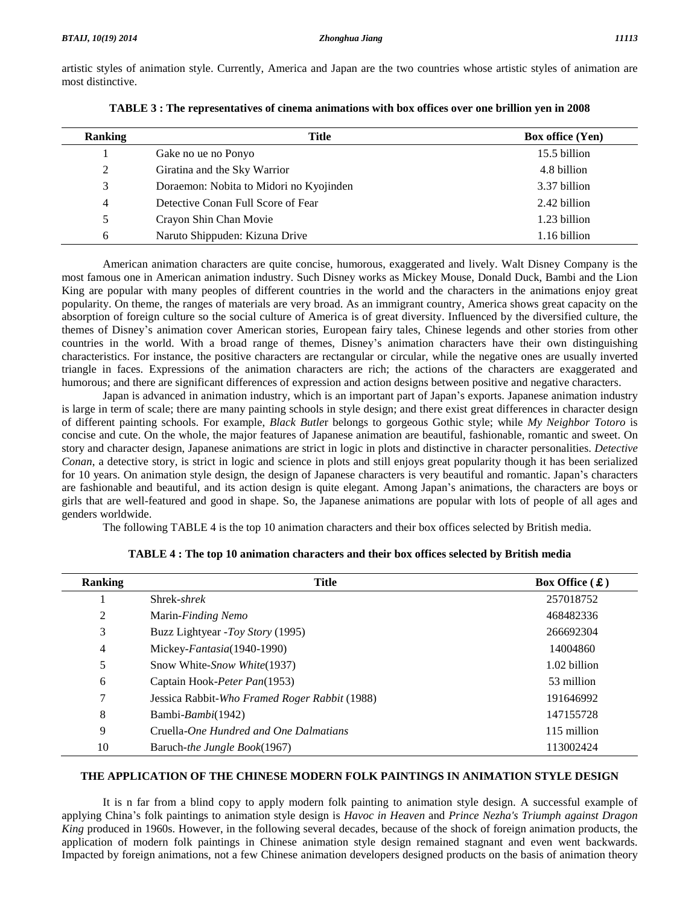artistic styles of animation style. Currently, America and Japan are the two countries whose artistic styles of animation are most distinctive.

| <b>Ranking</b> | <b>Title</b>                            | <b>Box office (Yen)</b> |
|----------------|-----------------------------------------|-------------------------|
|                | Gake no ue no Ponyo                     | 15.5 billion            |
| 2              | Giratina and the Sky Warrior            | 4.8 billion             |
| 3              | Doraemon: Nobita to Midori no Kyojinden | 3.37 billion            |
| 4              | Detective Conan Full Score of Fear      | 2.42 billion            |
| 5.             | Crayon Shin Chan Movie                  | 1.23 billion            |
| 6              | Naruto Shippuden: Kizuna Drive          | 1.16 billion            |

American animation characters are quite concise, humorous, exaggerated and lively. Walt Disney Company is the most famous one in American animation industry. Such Disney works as Mickey Mouse, Donald Duck, Bambi and the Lion King are popular with many peoples of different countries in the world and the characters in the animations enjoy great popularity. On theme, the ranges of materials are very broad. As an immigrant country, America shows great capacity on the absorption of foreign culture so the social culture of America is of great diversity. Influenced by the diversified culture, the popularity. On theme, the ranges of materials are very broad. As an immigrant country, America shows great capacity on the absorption of foreign culture so the social culture of America is of great diversity. Influenced by absorption of foreign culture so the social culture of America is of great diversity. Influenced by the diversified culture, the themes of Disney's animation cover American stories, European fairy tales, Chinese legends an characteristics. For instance, the positive characters are rectangular or circular, while the negative ones are usually inverted triangle in faces. Expressions of the animation characters are rich; the actions of the characters are exaggerated and<br>humorous; and there are significant differences of expression and action designs between positive and n humorous; and there are significant differences of expression and action designs between positive and negative characters.

is large in term of scale; there are many painting schools in style design; and there exist great differences in character design of different painting schools. For example, *Black Butle*r belongs to gorgeous Gothic style; while *My Neighbor Totoro* is concise and cute. On the whole, the major features of Japanese animation are beautiful, fashionable, romantic and sweet. On story and character design, Japanese animations are strict in logic in plots and distinctive in character personalities. *Detective Conan*, a detective story, is strict in logic and science in plots and still enjoys great popularity though it has been serialized for 10 years. On animations are strict in logic in plots and distinctive in character personalities. *Detective* Conan, a detective story, is strict in logic and science in plots and still enjoys great popularity though it Conan, a detective story, is strict in logic and science in plots and still enjoys great popularity though it has been serialized for 10 years. On animation style design, the design of Japanese characters is very beautiful girls that are well-featured and good in shape. So, the Japanese animations are popular with lots of people of all ages and genders worldwide.

The following TABLE 4 is the top 10 animation characters and their box offices selected by British media.

| <b>Ranking</b> | Title                                         | Box Office $(\mathbf{\pounds})$ |
|----------------|-----------------------------------------------|---------------------------------|
|                | Shrek- <i>shrek</i>                           | 257018752                       |
| 2              | Marin-Finding Nemo                            | 468482336                       |
| 3              | Buzz Lightyear - Toy Story (1995)             | 266692304                       |
| $\overline{4}$ | Mickey-Fantasia(1940-1990)                    | 14004860                        |
| 5              | Snow White-Snow White(1937)                   | 1.02 billion                    |
| 6              | Captain Hook-Peter Pan(1953)                  | 53 million                      |
| 7              | Jessica Rabbit-Who Framed Roger Rabbit (1988) | 191646992                       |
| 8              | Bambi- <i>Bambi</i> (1942)                    | 147155728                       |
| 9              | Cruella-One Hundred and One Dalmatians        | 115 million                     |
| 10             | Baruch- <i>the Jungle Book</i> (1967)         | 113002424                       |

### **TABLE 4 : The top 10 animation characters and their box offices selected by British media**

#### **THE APPLICATION OF THE CHINESE MODERN FOLK PAINTINGS IN ANIMATION STYLE DESIGN**

It is n far from a blind copy to apply modern folk painting to animation style design. A successful example of applying Chinaí<sup>s</sup> folk paintings to animation style design is *Havoc in Heaven* and *Prince Nezha's Triumph against Dragon King* produced in 1960s. However, in the following several decades, because of the shock of foreign animation products, the application of modern folk paintings in Chinese animation style design remained stagnant and even went backwards. Impacted by foreign animations, not a few Chinese animation developers designed products on the basis of animation theory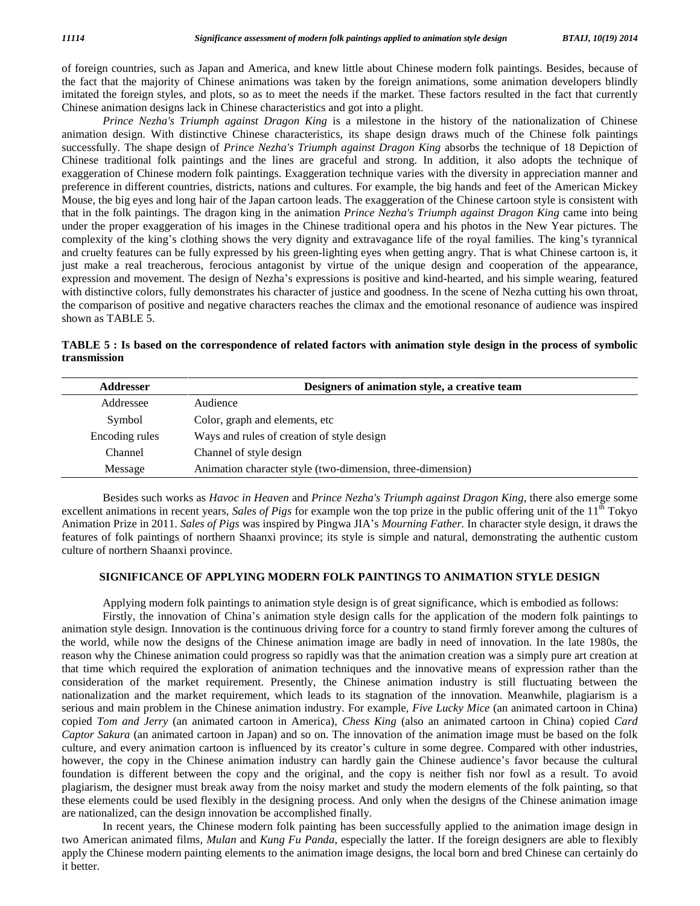of foreign countries, such as Japan and America, and knew little about Chinese modern folk paintings. Besides, because of the fact that the majority of Chinese animations was taken by the foreign animations, some animation developers blindly imitated the foreign styles, and plots, so as to meet the needs if the market. These factors resulted in the fact that currently Chinese animation designs lack in Chinese characteristics and gotinto a plight.

*Prince Nezha's Triumph against Dragon King* is a milestone in the history of the nationalization of Chinese animation design. With distinctive Chinese characteristics, its shape design draws much of the Chinese folk paintings successfully. The shape design of*Prince Nezha's Triumph against Dragon King* absorbs the technique of 18 Depiction of Chinese traditional folk paintings and the lines are graceful and strong. In addition, it also adopts the technique of exaggeration of Chinese modern folk paintings. Exaggeration technique varies with the diversity in appreciation manner and preference in different countries, districts, nations and cultures. For example, the big hands and feet of the American Mickey Mouse, the big eyes and long hair of the Japan cartoon leads. The exaggeration of the Chinese cartoon style is consistent with that in the folk paintings. The dragon king in the animation *Prince Nezha's Triumph against Dragon King* came into being<br>under the proper exaggeration of his images in the Chinese traditional opera and his photos in the N under the proper exaggeration of his images in the Chinese traditional opera and his photos in the New Year pictures. The and cruelty features can be fully expressed by his green-lighting eyes when getting angry. That is what Chinese cartoon is, it<br>just make a real treacherous, ferocious antagonist by virtue of the unique design and cooperati just make a real treacherous, ferocious antagonist by virtue of the unique design and cooperation of the appearance, with distinctive colors, fully demonstrates his character of justice and goodness. In the scene of Nezha cutting his own throat, the comparison of positive and negative characters reaches the climax and the emotional resonance of audience was inspired shown as TABLE 5.

TABLE 5 : Is based on the correspondence of related factors with animation style design in the process of symbolic **transmission**

| <b>Addresser</b> | Designers of animation style, a creative team              |
|------------------|------------------------------------------------------------|
| Addressee        | Audience                                                   |
| Symbol           | Color, graph and elements, etc.                            |
| Encoding rules   | Ways and rules of creation of style design                 |
| Channel          | Channel of style design                                    |
| Message          | Animation character style (two-dimension, three-dimension) |

Besides such works as *Havoc in Heaven* and *Prince Nezha's Triumph against Dragon King*, there also emerge some excellent animations in recent years, *Sales of Pigs* for example won the top prize in the public offering unit of the 11<sup>th</sup> Tokyo Besides such works as *Havoc in Heaven* and *Prince Nezha's Triumph against Dragon King*, there also emerge some excellent animations in recent years, *Sales of Pigs* for example won the top prize in the public offering un features of folk paintings of northern Shaanxi province; its style is simple and natural, demonstrating the authentic custom culture of northern Shaanxi province.

#### **SIGNIFICANCE OF APPLYING MODERN FOLK PAINTINGS TO ANIMATION STYLE DESIGN**

Applying modern folk paintings to animation style design is of great significance, which is embodied as follows:

Firstly, the innovation of China's animation style design calls for the application of the modern folk paintings to animation style design. Innovation is the continuous driving force for a country to stand firmly forever among the cultures of the world, while now the designs of the Chinese animation image are badly in need of innovation. In the late 1980s, the reason why the Chinese animation could progress so rapidly was that the animation creation was a simply pure art creation at that time which required the exploration of animation techniques and the innovative means of expression rather than the consideration of the market requirement. Presently, the Chinese animation industry is still fluctuating between the nationalization and the market requirement, which leads to its stagnation of the innovation. Meanwhile, plagiarism is a serious and main problem in the Chinese animation industry. For example, *Five Lucky Mice* (an animated cartoon in China) copied *Tom and Jerry* (an animated cartoon in America), *Chess King* (also an animated cartoon in China) copied *Card Captor Sakura* (an animated cartoon in Japan) and so on. The innovation of the animation image must be based on the folk copied Tom and Jerry (an animated cartoon in America), Chess King (also an animated cartoon in China) copied Card<br>Captor Sakura (an animated cartoon in Japan) and so on. The innovation of the animation image must be based Captor Sakura (an animated cartoon in Japan) and so on. The innovation of the animation image must be based on the folk culture, and every animation cartoon is influenced by its creator's culture in some degree. Compared w foundation is different between the copy and the original, and the copy is neither fish nor fowl as a result. To avoid plagiarism, the designer must break away from the noisy market and study the modern elements of the folk painting, so that these elements could be used flexibly in the designing process. And only when the designs of the Chinese animation image are nationalized, can the design innovation be accomplished finally.

In recent years, the Chinese modern folk painting has been successfully applied to the animation image design in two American animated films*, Mulan* and *Kung Fu Panda*, especially the latter. If the foreign designers are able to flexibly apply the Chinese modern painting elements to the animation image designs, the local born and bred Chinese can certainly do it better.